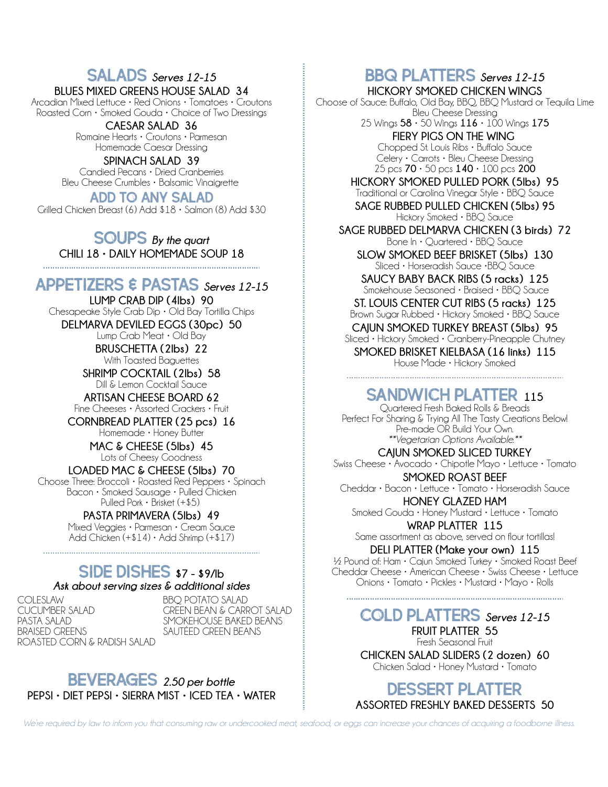## SALADS *Serves 12-15*

**BLUES MIXED GREENS HOUSE SALAD 34**

Arcadian Mixed Lettuce • Red Onions • Tomatoes • Croutons Roasted Corn • Smoked Gouda • Choice of Two Dressings

**CAESAR SALAD 36** Romaine Hearts • Croutons • Parmesan Homemade Caesar Dressing

**SPINACH SALAD 39** Candied Pecans • Dried Cranberries Bleu Cheese Crumbles • Balsamic Vinaigrette

ADD TO ANY SALAD Grilled Chicken Breast (6) Add \$18 • Salmon (8) Add \$30

SOUPS *By the quart* **CHILI 18 • DAILY HOMEMADE SOUP 18** 

#### APPETIZERS & PASTAS *Serves 12-15*

**LUMP CRAB DIP (4lbs) 90** Chesapeake Style Crab Dip • Old Bay Tortilla Chips **DELMARVA DEVILED EGGS (30pc) 50** Lump Crab Meat • Old Bay

**BRUSCHETTA (2lbs) 22** With Toasted Baguettes

**SHRIMP COCKTAIL (2lbs) 58** Dill & Lemon Cocktail Sauce

**ARTISAN CHEESE BOARD 62** Fine Cheeses • Assorted Crackers • Fruit

**CORNBREAD PLATTER (25 pcs) 16** Homemade • Honey Butter

> **MAC & CHEESE (5lbs) 45** Lots of Cheesy Goodness

**LOADED MAC & CHEESE (5lbs) 70** Choose Three: Broccoli • Roasted Red Peppers • Spinach Bacon • Smoked Sausage • Pulled Chicken Pulled Pork • Brisket (+\$5)

**PASTA PRIMAVERA (5lbs) 49** Mixed Veggies • Parmesan • Cream Sauce Add Chicken  $(+14) \cdot$  Add Shrimp  $(+17)$ 

#### SIDE DISHES **\$7 - \$9/lb** *Ask about serving sizes & additional sides*

**COLESLAW** CUCUMBER SALAD PASTA SALAD BRAISED GREENS ROASTED CORN & RADISH SALAD

BBQ POTATO SALAD GREEN BEAN & CARROT SALAD SMOKEHOUSE BAKED BEANS SAUTÉED GREEN BEANS

bEVERAGES *2.50 per bottle* **PEPSI • DIET PEPSI • SIERRA MIST • ICED TEA • WATER**

### BBQ PLATTERS *Serves 12-15*

**HICKORY SMOKED CHICKEN WINGS** Choose of Sauce: Buffalo, Old Bay, BBQ, BBQ Mustard or Tequila Lime Bleu Cheese Dressing

25 Wings **58** • 50 Wings **116** • 100 Wings **175 FIERY PIGS ON THE WING**  Chopped St. Louis Ribs • Buffalo Sauce Celery • Carrots • Bleu Cheese Dressing 25 pcs **70** • 50 pcs **140** • 100 pcs **200**

**HICKORY SMOKED PULLED PORK (5lbs) 95** Traditional or Carolina Vinegar Style • BBQ Sauce **SAGE RUBBED PULLED CHICKEN (5lbs) 95** Hickory Smoked • BBQ Sauce

**SAGE RUBBED DELMARVA CHICKEN (3 birds) 72** Bone In • Quartered • BBQ Sauce **SLOW SMOKED BEEF BRISKET (5lbs) 130**

Sliced • Horseradish Sauce •BBQ Sauce

**SAUCY BABY BACK RIBS (5 racks) 125** Smokehouse Seasoned • Braised • BBQ Sauce **ST. LOUIS CENTER CUT RIBS (5 racks) 125**

Brown Sugar Rubbed • Hickory Smoked • BBQ Sauce **CAJUN SMOKED TURKEY BREAST (5lbs) 95**

Sliced • Hickory Smoked • Cranberry-Pineapple Chutney **SMOKED BRISKET KIELBASA (16 links) 115**

House Made • Hickory Smoked

### Sandwich PLATTER **<sup>115</sup>**

Quartered Fresh Baked Rolls & Breads Perfect For Sharing & Trying All The Tasty Creations Below! Pre-made OR Build Your Own. *\*\*Vegetarian Options Available.\*\**

**CAJUN SMOKED SLICED TURKEY**  Swiss Cheese • Avocado • Chipotle Mayo • Lettuce • Tomato

**SMOKED ROAST BEEF**

Cheddar • Bacon • Lettuce • Tomato • Horseradish Sauce **HONEY GLAZED HAM** Smoked Gouda • Honey Mustard • Lettuce • Tomato

**WRAP PLATTER 115** Same assortment as above, served on flour tortillas!

**DELI PLATTER (Make your own) 115**

½ Pound of: Ham • Cajun Smoked Turkey • Smoked Roast Beef Cheddar Cheese • American Cheese • Swiss Cheese • Lettuce Onions • Tomato • Pickles • Mustard • Mayo • Rolls

COLD PLATTERS *Serves 12-15* **FRUIT PLATTER 55** Fresh Seasonal Fruit **CHICKEN SALAD SLIDERS (2 dozen) 60** Chicken Salad • Honey Mustard • Tomato

DESSERT PLATTER **ASSORTED FRESHLY BAKED DESSERTS 50**

*We're required by law to inform you that consuming raw or undercooked meat, seafood, or eggs can increase your chances of acquiring a foodborne illness.*